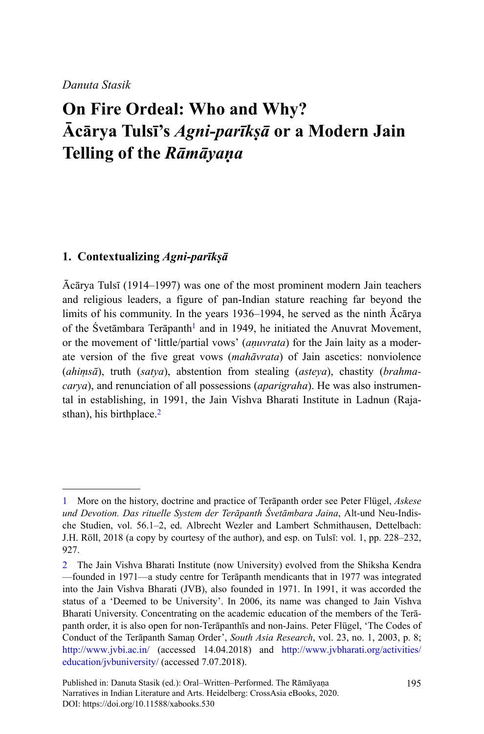# **On Fire Ordeal: Who and Why? Ācārya Tulsī's** *Agni-parīkṣā* **or a Modern Jain Telling of the** *Rāmāyaṇa*

## **1. Contextualizing** *Agni-parīkṣā*

Ācārya Tulsī (1914–1997) was one of the most prominent modern Jain teachers and religious leaders, a figure of pan-Indian stature reaching far beyond the limits of his community. In the years 1936–1994, he served as the ninth Ācārya of the Svetāmbara Terāpanth<sup>1</sup> and in 1949, he initiated the Anuvrat Movement, or the movement of 'little/partial vows' (*aṇuvrata*) for the Jain laity as a moderate version of the five great vows (*mahāvrata*) of Jain ascetics: nonviolence (*ahiṃsā*), truth (*satya*), abstention from stealing (*asteya*), chastity (*brahmacarya*), and renunciation of all possessions (*aparigraha*). He was also instrumental in establishing, in 1991, the Jain Vishva Bharati Institute in Ladnun (Rajasthan), his birthplace. $2$ 

<sup>1</sup> More on the history, doctrine and practice of Terāpanth order see Peter Flügel, *Askese und Devotion. Das rituelle System der Terāpanth Śvetāmbara Jaina*, Alt-und Neu-Indische Studien, vol. 56.1–2, ed. Albrecht Wezler and Lambert Schmithausen, Dettelbach: J.H. Röll, 2018 (a copy by courtesy of the author), and esp. on Tulsī: vol. 1, pp. 228–232, 927.

<sup>2</sup> The Jain Vishva Bharati Institute (now University) evolved from the Shiksha Kendra —founded in 1971—a study centre for Terāpanth mendicants that in 1977 was integrated into the Jain Vishva Bharati (JVB), also founded in 1971. In 1991, it was accorded the status of a 'Deemed to be University'. In 2006, its name was changed to Jain Vishva Bharati University. Concentrating on the academic education of the members of the Terāpanth order, it is also open for non-Terāpanthīs and non-Jains. Peter Flügel, 'The Codes of Conduct of the Terāpanth Samaṇ Order', *South Asia Research*, vol. 23, no. 1, 2003, p. 8; <http://www.jvbi.ac.in/>(accessed 14.04.2018) and [http://www.jvbharati.org/activities/](http://www.jvbharati.org/activities/education/jvbuniversity/) [education/jvbuniversity/](http://www.jvbharati.org/activities/education/jvbuniversity/) (accessed 7.07.2018).

Published in: Danuta Stasik (ed.): Oral–Written–Performed. The Rāmāyaṇa Narratives in Indian Literature and Arts. Heidelberg: CrossAsia eBooks, 2020. DOI:<https://doi.org/10.11588/xabooks.530>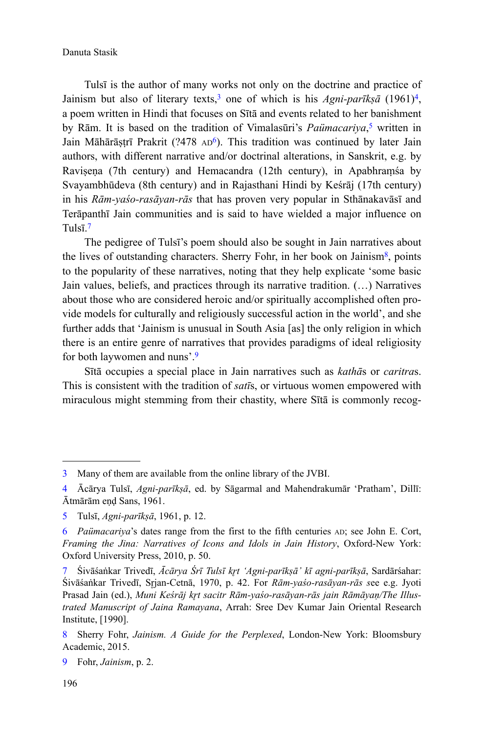Tulsī is the author of many works not only on the doctrine and practice of Jainism but also of literary texts,<sup>3</sup> one of which is his *Agni-parīkṣā* (1961)<sup>4</sup>, a poem written in Hindi that focuses on Sītā and events related to her banishment by Rām. It is based on the tradition of Vimalasūri's *Paümacariya*, 5 written in Jain Māhārāṣṭrī Prakrit (?478 AD<sup>6</sup>). This tradition was continued by later Jain authors, with different narrative and/or doctrinal alterations, in Sanskrit, e.g. by Ravisena (7th century) and Hemacandra (12th century), in Apabhramśa by Svayambhūdeva (8th century) and in Rajasthani Hindi by Keśrāj (17th century) in his *Rām-yaśo-rasāyan-rās* that has proven very popular in Sthānakavāsī and Terāpanthī Jain communities and is said to have wielded a major influence on Tulsī<sup>7</sup>

The pedigree of Tulsī's poem should also be sought in Jain narratives about the lives of outstanding characters. Sherry Fohr, in her book on Jainism<sup>8</sup>, points to the popularity of these narratives, noting that they help explicate 'some basic Jain values, beliefs, and practices through its narrative tradition. (…) Narratives about those who are considered heroic and/or spiritually accomplished often provide models for culturally and religiously successful action in the world', and she further adds that 'Jainism is unusual in South Asia [as] the only religion in which there is an entire genre of narratives that provides paradigms of ideal religiosity for both laywomen and nuns'.<sup>9</sup>

Sītā occupies a special place in Jain narratives such as *kathā*s or *caritra*s. This is consistent with the tradition of *satī*s, or virtuous women empowered with miraculous might stemming from their chastity, where Sītā is commonly recog-

<sup>3</sup> Many of them are available from the online library of the JVBI.

<sup>4</sup> Ācārya Tulsī, *Agni-parīkṣā*, ed. by Sāgarmal and Mahendrakumār 'Pratham', Dillī: Ātmārām eṇḍ Sans, 1961.

<sup>5</sup> Tulsī, *Agni-parīkṣā*, 1961, p. 12.

<sup>6</sup> *Paümacariya*'s dates range from the first to the fifth centuries AD; see John E. Cort, *Framing the Jina: Narratives of Icons and Idols in Jain History*, Oxford-New York: Oxford University Press, 2010, p. 50.

Śivāśaṅkar Trivedī, *Ācārya Śrī Tulsī kr̥t 'Agni-parīkṣā' kī agni-parīkṣā*, Sardārśahar: Śivāśaṅkar Trivedī, Srjan-Cetnā, 1970, p. 42. For *Rām-yaśo-rasāyan-rās see e.g.* Jyoti Prasad Jain (ed.), Muni Keśrāj krt sacitr Rām-yaśo-rasāyan-rās jain Rāmāyan/The Illus*trated Manuscript of Jaina Ramayana*, Arrah: Sree Dev Kumar Jain Oriental Research Institute, [1990].

<sup>8</sup> Sherry Fohr, *Jainism. A Guide for the Perplexed*, London-New York: Bloomsbury Academic, 2015.

<sup>9</sup> Fohr, *Jainism*, p. 2.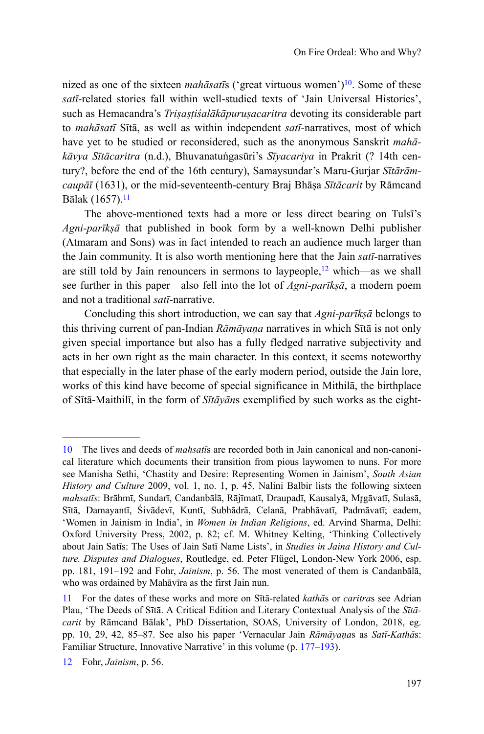nized as one of the sixteen *mahāsatīs* ('great virtuous women')<sup>10</sup>. Some of these *satī*-related stories fall within well-studied texts of 'Jain Universal Histories', such as Hemacandra's *Triṣaṣṭiśalākāpuruṣacaritra* devoting its considerable part to *mahāsatī* Sītā, as well as within independent *satī-*narratives, most of which have yet to be studied or reconsidered, such as the anonymous Sanskrit *mahākāvya Sītācaritra* (n.d.), Bhuvanatuṅgasūri's *Sīyacariya* in Prakrit (? 14th century?, before the end of the 16th century), Samaysundar's Maru-Gurjar *Sītārāmcaupāī* (1631), or the mid-seventeenth-century Braj Bhāṣa *Sītācarit* by Rāmcand Bālak (1657).<sup>11</sup>

The above-mentioned texts had a more or less direct bearing on Tulsī's *Agni-parīkṣā* that published in book form by a well-known Delhi publisher (Atmaram and Sons) was in fact intended to reach an audience much larger than the Jain community. It is also worth mentioning here that the Jain *satī*-narratives are still told by Jain renouncers in sermons to laypeople, $12$  which—as we shall see further in this paper—also fell into the lot of *Agni-parīkṣā*, a modern poem and not a traditional *satī*-narrative.

Concluding this short introduction, we can say that *Agni-parīkṣā* belongs to this thriving current of pan-Indian *Rāmāyaṇa* narratives in which Sītā is not only given special importance but also has a fully fledged narrative subjectivity and acts in her own right as the main character. In this context, it seems noteworthy that especially in the later phase of the early modern period, outside the Jain lore, works of this kind have become of special significance in Mithilā, the birthplace of Sītā-Maithilī, in the form of *Sītāyān*s exemplified by such works as the eight-

<sup>10</sup> The lives and deeds of *mahsatī*s are recorded both in Jain canonical and non-canonical literature which documents their transition from pious laywomen to nuns. For more see Manisha Sethi, 'Chastity and Desire: Representing Women in Jainism', *South Asian History and Culture* 2009, vol. 1, no. 1, p. 45. Nalini Balbir lists the following sixteen mahsatīs: Brāhmī, Sundarī, Candanbālā, Rājīmatī, Draupadī, Kausalyā, Mrgāvatī, Sulasā, Sītā, Damayantī, Śivādevī, Kuntī, Subhādrā, Celanā, Prabhāvatī, Padmāvatī; eadem, 'Women in Jainism in India', in *Women in Indian Religions*, ed. Arvind Sharma, Delhi: Oxford University Press, 2002, p. 82; cf. M. Whitney Kelting, 'Thinking Collectively about Jain Satīs: The Uses of Jain Satī Name Lists', in *Studies in Jaina History and Culture. Disputes and Dialogues*, Routledge, ed. Peter Flügel, London-New York 2006, esp. pp. 181, 191–192 and Fohr, *Jainism*, p. 56. The most venerated of them is Candanbālā, who was ordained by Mahāvīra as the first Jain nun.

<sup>11</sup> For the dates of these works and more on Sītā-related *kathā*s or *caritra*s see Adrian Plau, 'The Deeds of Sītā. A Critical Edition and Literary Contextual Analysis of the *Sītācarit* by Rāmcand Bālak', PhD Dissertation, SOAS, University of London, 2018, eg. pp. 10, 29, 42, 85–87. See also his paper 'Vernacular Jain *Rāmāyaṇa*s as *Satī*-*Kathā*s: Familiar Structure, Innovative Narrative' in this volume (p. 177–193).

<sup>12</sup> Fohr, *Jainism*, p. 56.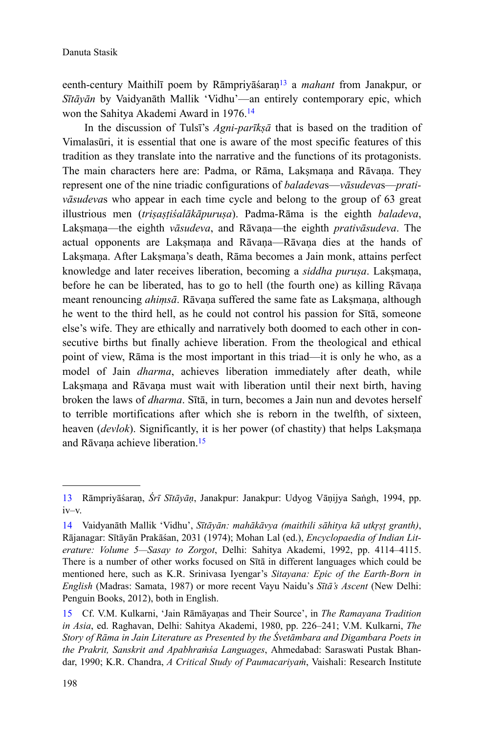eenth-century Maithilī poem by Rāmpriyāśaraṇ<sup>13</sup> a *mahant* from Janakpur, or *Sītāyān* by Vaidyanāth Mallik 'Vidhu'—an entirely contemporary epic, which won the Sahitya Akademi Award in 1976.<sup>14</sup>

In the discussion of Tulsī's *Agni-parīkṣā* that is based on the tradition of Vimalasūri, it is essential that one is aware of the most specific features of this tradition as they translate into the narrative and the functions of its protagonists. The main characters here are: Padma, or Rāma, Laksmana and Rāvana. They represent one of the nine triadic configurations of *baladeva*s—*vāsudeva*s—*prativāsudeva*s who appear in each time cycle and belong to the group of 63 great illustrious men (*triṣaṣṭiśalākāpuruṣa*). Padma-Rāma is the eighth *baladeva*, Lakṣmaṇa—the eighth *vāsudeva*, and Rāvaṇa—the eighth *prativāsudeva*. The actual opponents are Lakṣmaṇa and Rāvaṇa—Rāvaṇa dies at the hands of Lakṣmaṇa. After Lakṣmaṇa's death, Rāma becomes a Jain monk, attains perfect knowledge and later receives liberation, becoming a *siddha puruṣa*. Lakṣmaṇa, before he can be liberated, has to go to hell (the fourth one) as killing Rāvaṇa meant renouncing *ahimsā*. Rāvana suffered the same fate as Laksmana, although he went to the third hell, as he could not control his passion for Sītā, someone else's wife. They are ethically and narratively both doomed to each other in consecutive births but finally achieve liberation. From the theological and ethical point of view, Rāma is the most important in this triad—it is only he who, as a model of Jain *dharma*, achieves liberation immediately after death, while Laksmana and Rāvana must wait with liberation until their next birth, having broken the laws of *dharma*. Sītā, in turn, becomes a Jain nun and devotes herself to terrible mortifications after which she is reborn in the twelfth, of sixteen, heaven (*devlok*). Significantly, it is her power (of chastity) that helps Lakṣmaṇa and Rāvana achieve liberation.<sup>15</sup>

<sup>13</sup> Rāmpriyāśaraṇ, *Śrī Sītāyāṇ*, Janakpur: Janakpur: Udyog Vāṇijya Saṅgh, 1994, pp. iv–v.

<sup>14</sup> Vaidyanāth Mallik 'Vidhu', *Sītāyān: mahākāvya (maithili sāhitya kā utkrst granth)*, Rājanagar: Sītāyān Prakāśan, 2031 (1974); Mohan Lal (ed.), *Encyclopaedia of Indian Literature: Volume 5—Sasay to Zorgot*, Delhi: Sahitya Akademi, 1992, pp. 4114–4115. There is a number of other works focused on Sītā in different languages which could be mentioned here, such as K.R. Srinivasa Iyengar's *Sitayana: Epic of the Earth-Born in English* (Madras: Samata, 1987) or more recent Vayu Naidu's *Sītā's Ascent* (New Delhi: Penguin Books, 2012), both in English.

<sup>15</sup> Cf. V.M. Kulkarni, 'Jain Rāmāyaṇas and Their Source', in *The Ramayana Tradition in Asia*, ed. Raghavan, Delhi: Sahitya Akademi, 1980, pp. 226–241; V.M. Kulkarni, *The Story of Rāma in Jain Literature as Presented by the Śvetāmbara and Digambara Poets in the Prakrit, Sanskrit and Apabhraṁśa Languages*, Ahmedabad: Saraswati Pustak Bhandar, 1990; K.R. Chandra, *A Critical Study of Paumacariyaṁ*, Vaishali: Research Institute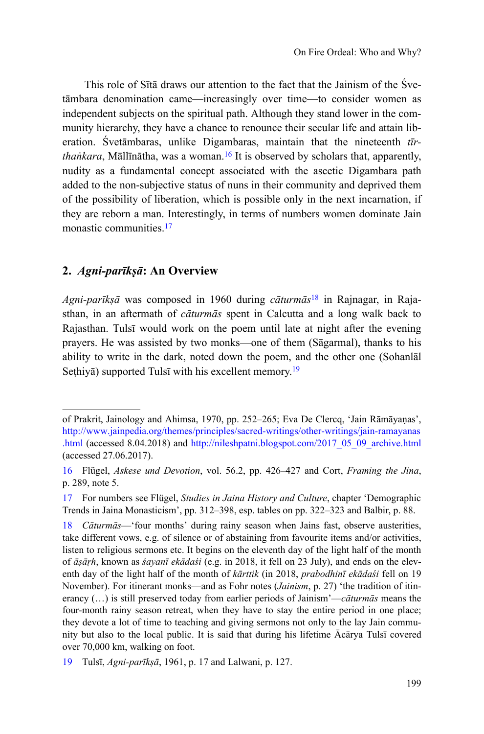This role of Sītā draws our attention to the fact that the Jainism of the Śvetāmbara denomination came—increasingly over time—to consider women as independent subjects on the spiritual path. Although they stand lower in the community hierarchy, they have a chance to renounce their secular life and attain liberation. Śvetāmbaras, unlike Digambaras, maintain that the nineteenth *tīrthaṅkara*, Māllīnātha, was a woman.<sup>16</sup> It is observed by scholars that, apparently, nudity as a fundamental concept associated with the ascetic Digambara path added to the non-subjective status of nuns in their community and deprived them of the possibility of liberation, which is possible only in the next incarnation, if they are reborn a man. Interestingly, in terms of numbers women dominate Jain monastic communities.<sup>17</sup>

# **2.** *Agni-parīkṣā***: An Overview**

*Agni-parīkṣā* was composed in 1960 during *cāturmās*18 in Rajnagar, in Rajasthan, in an aftermath of *cāturmās* spent in Calcutta and a long walk back to Rajasthan. Tulsī would work on the poem until late at night after the evening prayers. He was assisted by two monks—one of them (Sāgarmal), thanks to his ability to write in the dark, noted down the poem, and the other one (Sohanlāl Sethiya) supported Tulsī with his excellent memory.<sup>19</sup>

of Prakrit, Jainology and Ahimsa, 1970, pp. 252–265; Eva De Clercq, 'Jain Rāmāyaṇas', [http://www.jainpedia.org/themes/principles/sacred-writings/other-writings/jain-ramayanas](http://www.jainpedia.org/themes/principles/sacred-writings/other-writings/jain-ramayanas.html) [.html](http://www.jainpedia.org/themes/principles/sacred-writings/other-writings/jain-ramayanas.html) (accessed 8.04.2018) and [http://nileshpatni.blogspot.com/2017\\_05\\_09\\_archive.html](http://nileshpatni.blogspot.com/2017_05_09_archive.html) (accessed 27.06.2017).

<sup>16</sup> Flügel, *Askese und Devotion*, vol. 56.2, pp. 426–427 and Cort, *Framing the Jina*, p. 289, note 5.

<sup>17</sup> For numbers see Flügel, *Studies in Jaina History and Culture*, chapter 'Demographic Trends in Jaina Monasticism', pp. 312–398, esp. tables on pp. 322–323 and Balbir, p. 88.

<sup>18</sup> *Cāturmās*—'four months' during rainy season when Jains fast, observe austerities, take different vows, e.g. of silence or of abstaining from favourite items and/or activities, listen to religious sermons etc. It begins on the eleventh day of the light half of the month of *āṣāṛh*, known as *śayanī ekādaśi* (e.g. in 2018, it fell on 23 July), and ends on the eleventh day of the light half of the month of *kārttik* (in 2018, *prabodhinī ekādaśi* fell on 19 November). For itinerant monks—and as Fohr notes (*Jainism*, p. 27) 'the tradition of itinerancy (…) is still preserved today from earlier periods of Jainism'—*cāturmās* means the four-month rainy season retreat, when they have to stay the entire period in one place; they devote a lot of time to teaching and giving sermons not only to the lay Jain community but also to the local public. It is said that during his lifetime Ācārya Tulsī covered over 70,000 km, walking on foot.

<sup>19</sup> Tulsī, *Agni-parīkṣā*, 1961, p. 17 and Lalwani, p. 127.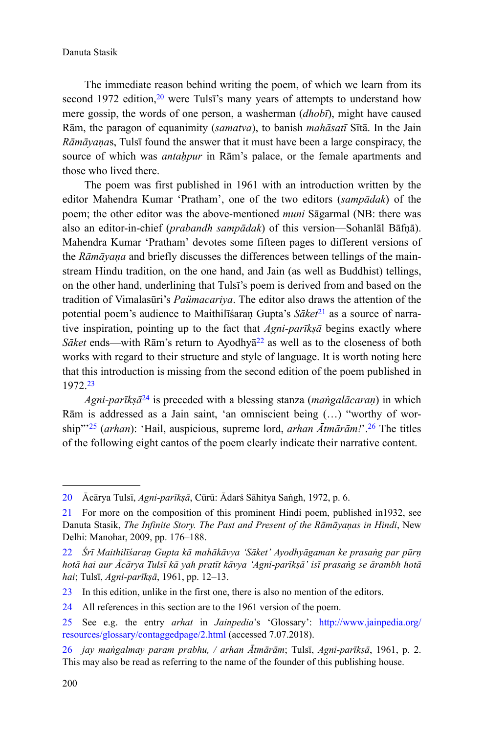The immediate reason behind writing the poem, of which we learn from its second 1972 edition.<sup>20</sup> were Tuls<sup> $\bar{r}$ </sup>'s many years of attempts to understand how mere gossip, the words of one person, a washerman (*dhobī*), might have caused Rām, the paragon of equanimity (*samatva*), to banish *mahāsatī* Sītā. In the Jain *Rāmāyaṇa*s, Tulsī found the answer that it must have been a large conspiracy, the source of which was *antaḥpur* in Rām's palace, or the female apartments and those who lived there.

The poem was first published in 1961 with an introduction written by the editor Mahendra Kumar 'Pratham', one of the two editors (*sampādak*) of the poem; the other editor was the above-mentioned *muni* Sāgarmal (NB: there was also an editor-in-chief (*prabandh sampādak*) of this version—Sohanlāl Bāfṇā). Mahendra Kumar 'Pratham' devotes some fifteen pages to different versions of the *Rāmāyaṇa* and briefly discusses the differences between tellings of the mainstream Hindu tradition, on the one hand, and Jain (as well as Buddhist) tellings, on the other hand, underlining that Tulsī's poem is derived from and based on the tradition of Vimalasūri's *Paümacariya*. The editor also draws the attention of the potential poem's audience to Maithilīśaran Gupta's *Sāket*<sup>21</sup> as a source of narrative inspiration, pointing up to the fact that *Agni-parīkṣā* begins exactly where *Sāket* ends—with Rām's return to Ayodhyā<sup>22</sup> as well as to the closeness of both works with regard to their structure and style of language. It is worth noting here that this introduction is missing from the second edition of the poem published in 1972.<sup>23</sup>

*Agni-parīkṣā*<sup>24</sup> is preceded with a blessing stanza (*maṅgalācaraṇ*) in which Rām is addressed as a Jain saint, 'an omniscient being (…) "worthy of worship"'<sup>25</sup> (*arhan*): 'Hail, auspicious, supreme lord, *arhan Ātmārām!*'.<sup>26</sup> The titles of the following eight cantos of the poem clearly indicate their narrative content.

<sup>20</sup> Ācārya Tulsī, *Agni-parīkṣā*, Cūrū: Ādarś Sāhitya Saṅgh, 1972, p. 6.

<sup>21</sup> For more on the composition of this prominent Hindi poem, published in1932, see Danuta Stasik, *The Infinite Story. The Past and Present of the Rāmāyaṇas in Hindi*, New Delhi: Manohar, 2009, pp. 176–188.

<sup>22</sup> *Śrī Maithilīśaraṇ Gupta kā mahākāvya 'Sāket' Ayodhyāgaman ke prasaṅg par pūrṇ hotā hai aur Ācārya Tulsī kā yah pratīt kāvya 'Agni-parīkṣā' isī prasaṅg se ārambh hotā hai*; Tulsī, *Agni-parīkṣā*, 1961, pp. 12–13.

<sup>23</sup> In this edition, unlike in the first one, there is also no mention of the editors.

<sup>24</sup> All references in this section are to the 1961 version of the poem.

<sup>25</sup> See e.g. the entry *arhat* in *Jainpedia*'s 'Glossary': [http://www.jainpedia.org/](http://www.jainpedia.org/resources/glossary/contaggedpage/2.html) [resources/glossary/contaggedpage/2.html](http://www.jainpedia.org/resources/glossary/contaggedpage/2.html) (accessed 7.07.2018).

<sup>26</sup> *jay maṅgalmay param prabhu, / arhan Ātmārām*; Tulsī, *Agni-parīkṣā*, 1961, p. 2. This may also be read as referring to the name of the founder of this publishing house.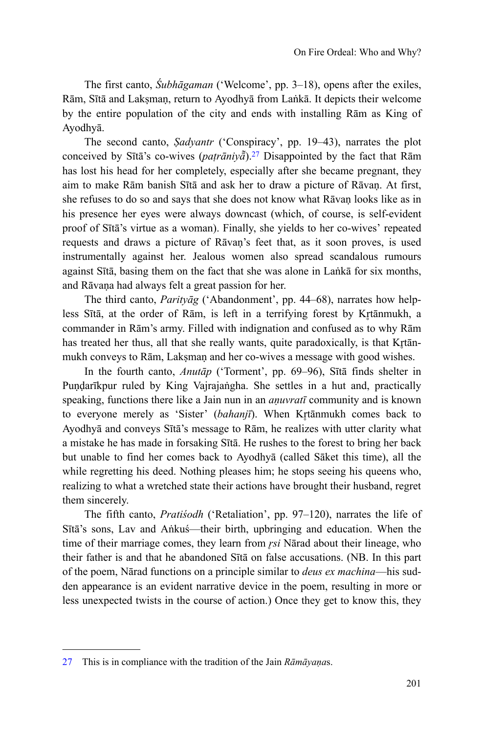The first canto, *Śubhāgaman* ('Welcome', pp. 3–18), opens after the exiles, Rām, Sītā and Lakṣmaṇ, return to Ayodhyā from Laṅkā. It depicts their welcome by the entire population of the city and ends with installing Rām as King of Ayodhyā.

The second canto, *Ṣadyantr* ('Conspiracy', pp. 19–43), narrates the plot conceived by Sītā's co-wives ( $pair\bar{a}ni\bar{y}\bar{a}$ ).<sup>27</sup> Disappointed by the fact that Rām has lost his head for her completely, especially after she became pregnant, they aim to make Rām banish Sītā and ask her to draw a picture of Rāvaṇ. At first, she refuses to do so and says that she does not know what Rāvaṇ looks like as in his presence her eyes were always downcast (which, of course, is self-evident proof of Sītā's virtue as a woman). Finally, she yields to her co-wives' repeated requests and draws a picture of Rāvaṇ's feet that, as it soon proves, is used instrumentally against her. Jealous women also spread scandalous rumours against Sītā, basing them on the fact that she was alone in Laṅkā for six months, and Rāvaṇa had always felt a great passion for her.

The third canto, *Parityāg* ('Abandonment', pp. 44–68), narrates how helpless Sītā, at the order of Rām, is left in a terrifying forest by Krtānmukh, a commander in Rām's army. Filled with indignation and confused as to why Rām has treated her thus, all that she really wants, quite paradoxically, is that Krtānmukh conveys to Rām, Laksman and her co-wives a message with good wishes.

In the fourth canto, *Anutāp* ('Torment', pp. 69–96), Sītā finds shelter in Puṇḍarīkpur ruled by King Vajrajaṅgha. She settles in a hut and, practically speaking, functions there like a Jain nun in an *aṇuvratī* community and is known to everyone merely as 'Sister' (*bahanjī*). When Krtānmukh comes back to Ayodhyā and conveys Sītā's message to Rām, he realizes with utter clarity what a mistake he has made in forsaking Sītā. He rushes to the forest to bring her back but unable to find her comes back to Ayodhyā (called Sāket this time), all the while regretting his deed. Nothing pleases him; he stops seeing his queens who, realizing to what a wretched state their actions have brought their husband, regret them sincerely.

The fifth canto, *Pratiśodh* ('Retaliation', pp. 97–120), narrates the life of Sītā's sons, Lav and Aṅkuś—their birth, upbringing and education. When the time of their marriage comes, they learn from *rsi* Nārad about their lineage, who their father is and that he abandoned Sītā on false accusations. (NB. In this part of the poem, Nārad functions on a principle similar to *deus ex machina*—his sudden appearance is an evident narrative device in the poem, resulting in more or less unexpected twists in the course of action.) Once they get to know this, they

<sup>27</sup> This is in compliance with the tradition of the Jain *Rāmāyaṇa*s.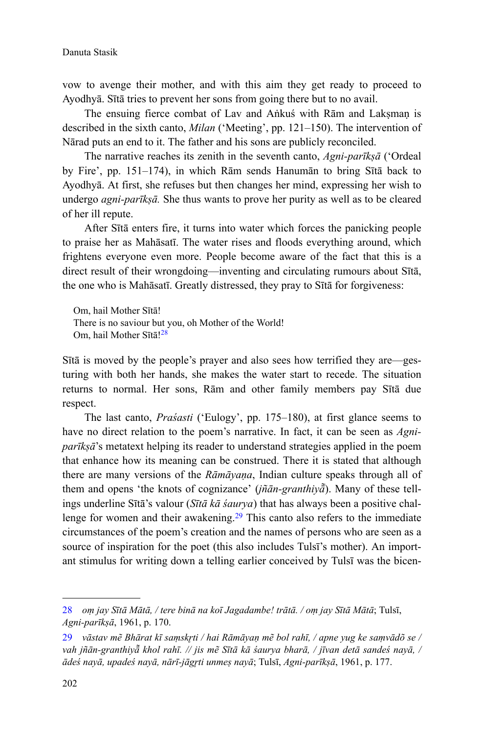vow to avenge their mother, and with this aim they get ready to proceed to Ayodhyā. Sītā tries to prevent her sons from going there but to no avail.

The ensuing fierce combat of Lav and Aṅkuś with Rām and Laksman is described in the sixth canto, *Milan* ('Meeting', pp. 121–150). The intervention of Nārad puts an end to it. The father and his sons are publicly reconciled.

The narrative reaches its zenith in the seventh canto, *Agni-parīkṣā* ('Ordeal by Fire', pp. 151–174), in which Rām sends Hanumān to bring Sītā back to Ayodhyā. At first, she refuses but then changes her mind, expressing her wish to undergo *agni-parīkṣā.* She thus wants to prove her purity as well as to be cleared of her ill repute.

After Sītā enters fire, it turns into water which forces the panicking people to praise her as Mahāsatī. The water rises and floods everything around, which frightens everyone even more. People become aware of the fact that this is a direct result of their wrongdoing—inventing and circulating rumours about Sītā, the one who is Mahāsatī. Greatly distressed, they pray to Sītā for forgiveness:

Om, hail Mother Sītā! There is no saviour but you, oh Mother of the World! Om, hail Mother Sītā!<sup>28</sup>

Sītā is moved by the people's prayer and also sees how terrified they are—gesturing with both her hands, she makes the water start to recede. The situation returns to normal. Her sons, Rām and other family members pay Sītā due respect.

The last canto, *Praśasti* ('Eulogy', pp. 175–180), at first glance seems to have no direct relation to the poem's narrative. In fact, it can be seen as *Agniparīkṣā*'s metatext helping its reader to understand strategies applied in the poem that enhance how its meaning can be construed. There it is stated that although there are many versions of the *Rāmāyaṇa*, Indian culture speaks through all of them and opens 'the knots of cognizance' (*jñān-granthiya*). Many of these tellings underline Sītā's valour (*Sītā kā śaurya*) that has always been a positive challenge for women and their awakening.<sup>29</sup> This canto also refers to the immediate circumstances of the poem's creation and the names of persons who are seen as a source of inspiration for the poet (this also includes Tulsī's mother). An important stimulus for writing down a telling earlier conceived by Tulsī was the bicen-

<sup>28</sup> *oṃ jay Sītā Mātā, / tere binā na koī Jagadambe! trātā. / oṃ jay Sītā Mātā*; Tulsī, *Agni-parīkṣā*, 1961, p. 170.

<sup>29</sup> vāstav mẽ Bhārat kī samskrti / hai Rāmāyan mẽ bol rahī, / apne yug ke samvādõ se / vah jñān-granthiyā khol rahī. // jis mẽ Sītā kā śaurya bharā, / jīvan detā sandeś nayā, / *ādeś nayā, upadeś nayā, nƗrƯ-jƗgrֈti unmeṣ nayā*; Tulsī, *Agni-parīkṣā*, 1961, p. 177.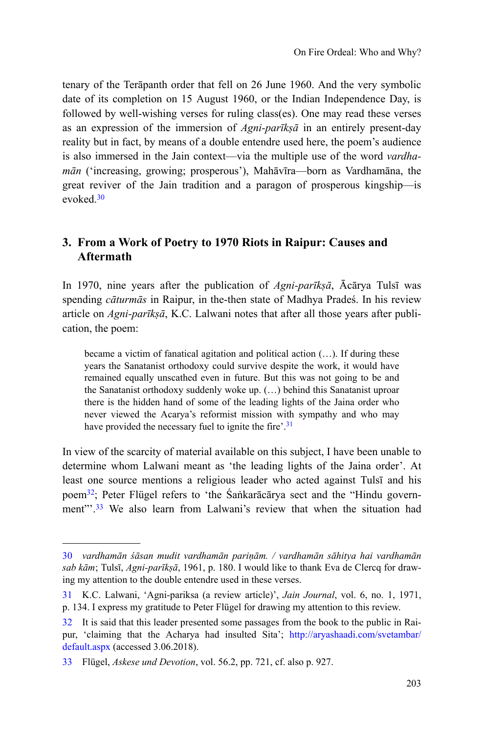tenary of the Terāpanth order that fell on 26 June 1960. And the very symbolic date of its completion on 15 August 1960, or the Indian Independence Day, is followed by well-wishing verses for ruling class(es). One may read these verses as an expression of the immersion of *Agni-parīkṣā* in an entirely present-day reality but in fact, by means of a double entendre used here, the poem's audience is also immersed in the Jain context—via the multiple use of the word *vardhamān* ('increasing, growing; prosperous'), Mahāvīra—born as Vardhamāna, the great reviver of the Jain tradition and a paragon of prosperous kingship—is evoked<sup>30</sup>

# **3. From a Work of Poetry to 1970 Riots in Raipur: Causes and Aftermath**

In 1970, nine years after the publication of *Agni-parīkṣā*, Ācārya Tulsī was spending *cāturmās* in Raipur, in the-then state of Madhya Pradeś. In his review article on *Agni-parīkṣā*, K.C. Lalwani notes that after all those years after publication, the poem:

became a victim of fanatical agitation and political action (…). If during these years the Sanatanist orthodoxy could survive despite the work, it would have remained equally unscathed even in future. But this was not going to be and the Sanatanist orthodoxy suddenly woke up. (…) behind this Sanatanist uproar there is the hidden hand of some of the leading lights of the Jaina order who never viewed the Acarya's reformist mission with sympathy and who may have provided the necessary fuel to ignite the fire'.<sup>31</sup>

In view of the scarcity of material available on this subject, I have been unable to determine whom Lalwani meant as 'the leading lights of the Jaina order'. At least one source mentions a religious leader who acted against Tulsī and his poem32; Peter Flügel refers to 'the Śaṅkarācārya sect and the "Hindu government"<sup>23</sup>. We also learn from Lalwani's review that when the situation had

<sup>30</sup> *vardhamān śāsan mudit vardhamān pariṇām. / vardhamān sāhitya hai vardhamān sab kām*; Tulsī, *Agni-parīkṣā*, 1961, p. 180. I would like to thank Eva de Clercq for drawing my attention to the double entendre used in these verses.

<sup>31</sup> K.C. Lalwani, 'Agni-pariksa (a review article)', *Jain Journal*, vol. 6, no. 1, 1971, p. 134. I express my gratitude to Peter Flügel for drawing my attention to this review.

<sup>32</sup> It is said that this leader presented some passages from the book to the public in Raipur, 'claiming that the Acharya had insulted Sita'; [http://aryashaadi.com/svetambar/](http://aryashaadi.com/svetambar/default.aspx) [default.aspx](http://aryashaadi.com/svetambar/default.aspx) (accessed 3.06.2018).

<sup>33</sup> Flügel, *Askese und Devotion*, vol. 56.2, pp. 721, cf. also p. 927.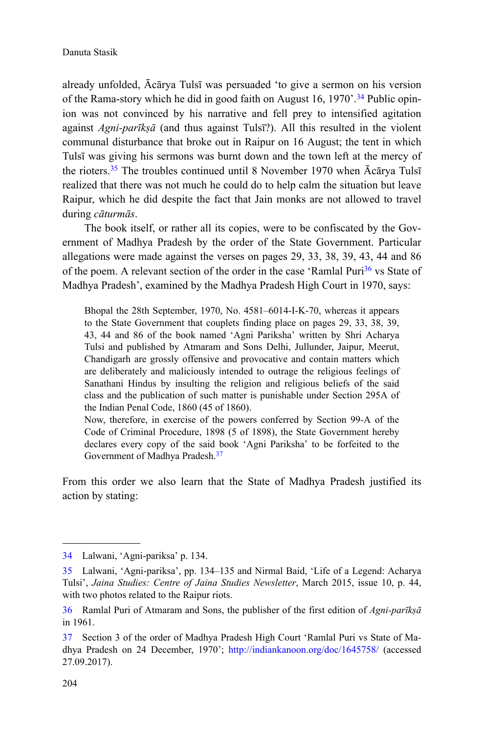already unfolded, Ācārya Tulsī was persuaded 'to give a sermon on his version of the Rama-story which he did in good faith on August 16, 1970'.<sup>34</sup> Public opinion was not convinced by his narrative and fell prey to intensified agitation against *Agni-parīkṣā* (and thus against Tulsī?). All this resulted in the violent communal disturbance that broke out in Raipur on 16 August; the tent in which Tulsī was giving his sermons was burnt down and the town left at the mercy of the rioters.<sup>35</sup> The troubles continued until 8 November 1970 when Ācārya Tulsī realized that there was not much he could do to help calm the situation but leave Raipur, which he did despite the fact that Jain monks are not allowed to travel during *cāturmās*.

The book itself, or rather all its copies, were to be confiscated by the Government of Madhya Pradesh by the order of the State Government. Particular allegations were made against the verses on pages 29, 33, 38, 39, 43, 44 and 86 of the poem. A relevant section of the order in the case 'Ramlal Puri $36$  vs State of Madhya Pradesh', examined by the Madhya Pradesh High Court in 1970, says:

Bhopal the 28th September, 1970, No. 4581–6014-I-K-70, whereas it appears to the State Government that couplets finding place on pages 29, 33, 38, 39, 43, 44 and 86 of the book named 'Agni Pariksha' written by Shri Acharya Tulsi and published by Atmaram and Sons Delhi, Jullunder, Jaipur, Meerut, Chandigarh are grossly offensive and provocative and contain matters which are deliberately and maliciously intended to outrage the religious feelings of Sanathani Hindus by insulting the religion and religious beliefs of the said class and the publication of such matter is punishable under Section 295A of the Indian Penal Code, 1860 (45 of 1860).

Now, therefore, in exercise of the powers conferred by Section 99-A of the Code of Criminal Procedure, 1898 (5 of 1898), the State Government hereby declares every copy of the said book 'Agni Pariksha' to be forfeited to the Government of Madhya Pradesh.<sup>37</sup>

From this order we also learn that the State of Madhya Pradesh justified its action by stating:

<sup>34</sup> Lalwani, 'Agni-pariksa' p. 134.

<sup>35</sup> Lalwani, 'Agni-pariksa', pp. 134–135 and Nirmal Baid, 'Life of a Legend: Acharya Tulsi', *Jaina Studies: Centre of Jaina Studies Newsletter*, March 2015, issue 10, p. 44, with two photos related to the Raipur riots.

<sup>36</sup> Ramlal Puri of Atmaram and Sons, the publisher of the first edition of *Agni-parīkṣā* in 1961.

<sup>37</sup> Section 3 of the order of Madhya Pradesh High Court 'Ramlal Puri vs State of Madhya Pradesh on 24 December, 1970'; <http://indiankanoon.org/doc/1645758/> (accessed 27.09.2017).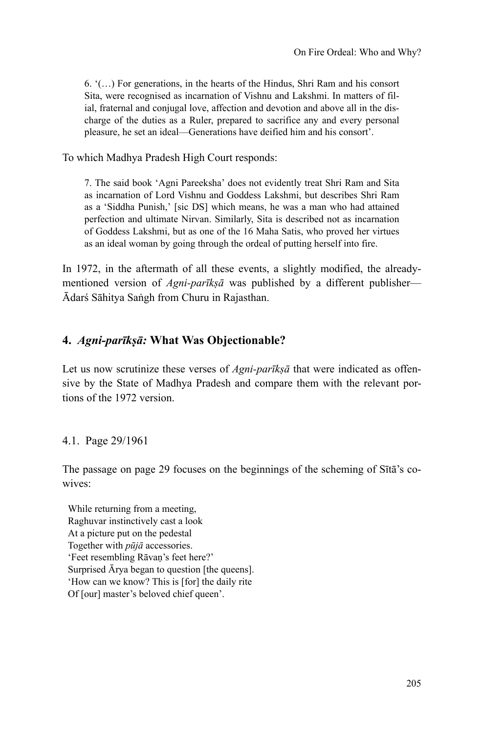6. '(…) For generations, in the hearts of the Hindus, Shri Ram and his consort Sita, were recognised as incarnation of Vishnu and Lakshmi. In matters of filial, fraternal and conjugal love, affection and devotion and above all in the discharge of the duties as a Ruler, prepared to sacrifice any and every personal pleasure, he set an ideal—Generations have deified him and his consort'.

To which Madhya Pradesh High Court responds:

7. The said book 'Agni Pareeksha' does not evidently treat Shri Ram and Sita as incarnation of Lord Vishnu and Goddess Lakshmi, but describes Shri Ram as a 'Siddha Punish,' [sic DS] which means, he was a man who had attained perfection and ultimate Nirvan. Similarly, Sita is described not as incarnation of Goddess Lakshmi, but as one of the 16 Maha Satis, who proved her virtues as an ideal woman by going through the ordeal of putting herself into fire.

In 1972, in the aftermath of all these events, a slightly modified, the alreadymentioned version of *Agni-parīkṣā* was published by a different publisher— Ādarś Sāhitya Saṅgh from Churu in Rajasthan.

# **4.** *Agni-parīkṣā:* **What Was Objectionable?**

Let us now scrutinize these verses of *Agni-parīksā* that were indicated as offensive by the State of Madhya Pradesh and compare them with the relevant portions of the 1972 version.

## 4.1. Page 29/1961

The passage on page 29 focuses on the beginnings of the scheming of Sītā's cowives:

While returning from a meeting, Raghuvar instinctively cast a look At a picture put on the pedestal Together with *pūjā* accessories. 'Feet resembling Rāvaṇ's feet here?' Surprised Ārya began to question [the queens]. 'How can we know? This is [for] the daily rite Of [our] master's beloved chief queen'.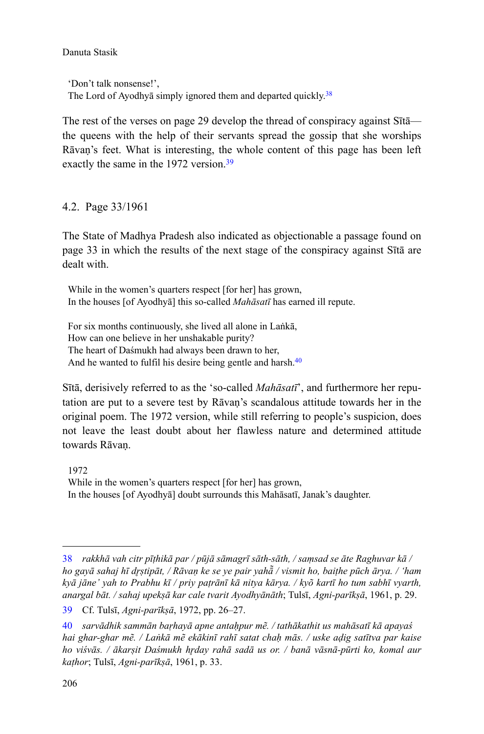'Don't talk nonsense!', The Lord of Ayodhya simply ignored them and departed quickly.<sup>38</sup>

The rest of the verses on page 29 develop the thread of conspiracy against Sītā the queens with the help of their servants spread the gossip that she worships Rāvaṇ's feet. What is interesting, the whole content of this page has been left exactly the same in the 1972 version.<sup>39</sup>

4.2. Page 33/1961

The State of Madhya Pradesh also indicated as objectionable a passage found on page 33 in which the results of the next stage of the conspiracy against Sītā are dealt with.

While in the women's quarters respect [for her] has grown, In the houses [of Ayodhyā] this so-called *Mahāsatī* has earned ill repute.

For six months continuously, she lived all alone in Laṅkā, How can one believe in her unshakable purity? The heart of Daśmukh had always been drawn to her, And he wanted to fulfil his desire being gentle and harsh.<sup>40</sup>

Sītā, derisively referred to as the 'so-called *Mahāsatī*', and furthermore her reputation are put to a severe test by Rāvaṇ's scandalous attitude towards her in the original poem. The 1972 version, while still referring to people's suspicion, does not leave the least doubt about her flawless nature and determined attitude towards Rāvaṇ.

1972 While in the women's quarters respect [for her] has grown, In the houses [of Ayodhyā] doubt surrounds this Mahāsatī, Janak's daughter.

<sup>38</sup> *rakkhā vah citr pīṭhikā par / pūjā sāmagrī sāth-sāth, / saṃsad se āte Raghuvar kā / ho gayā sahaj hī drṣtipāt, / Rāvaṇ ke se ye pair yahã / vismit ho, baiṭhe pūch ārya. / 'ham kyā jāne' yah to Prabhu kī / priy paṭrānī kā nitya kārya. / kyõ kartī ho tum sabhī vyarth, anargal bāt. / sahaj upekṣā kar cale tvarit Ayodhyānāth*; Tulsī, *Agni-parīkṣā*, 1961, p. 29.

<sup>39</sup> Cf. Tulsī, *Agni-parīkṣā*, 1972, pp. 26–27.

<sup>40</sup> *sarvādhik sammān baṛhayā apne antaḥpur mẽ. / tathākathit us mahāsatī kā apayaś hai ghar-ghar mẽ. / Laṅkā mẽ ekākinī rahī satat chaḥ mās. / uske aḍig satītva par kaise* ho viśvās. / ākarsit Daśmukh hrday rahā sadā us or. / banā vāsnā-pūrti ko, komal aur *kaṭhor*; Tulsī, *Agni-parīkṣā*, 1961, p. 33.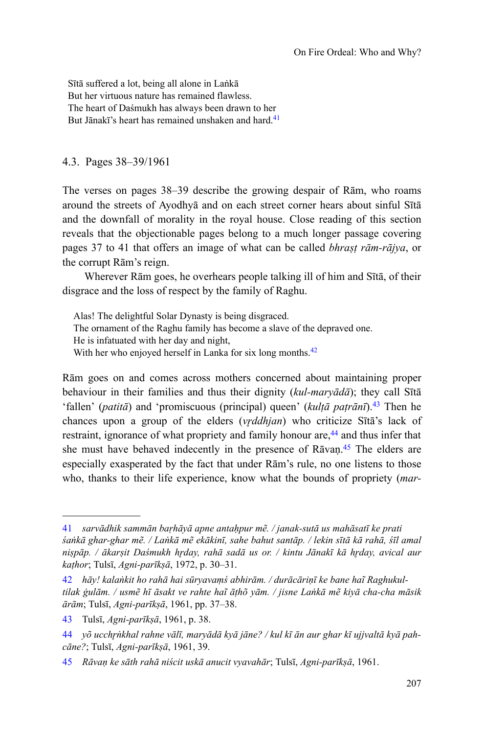Sītā suffered a lot, being all alone in Laṅkā But her virtuous nature has remained flawless. The heart of Daśmukh has always been drawn to her But Jānakī's heart has remained unshaken and hard <sup>41</sup>

#### 4.3. Pages 38–39/1961

The verses on pages 38–39 describe the growing despair of Rām, who roams around the streets of Ayodhyā and on each street corner hears about sinful Sītā and the downfall of morality in the royal house. Close reading of this section reveals that the objectionable pages belong to a much longer passage covering pages 37 to 41 that offers an image of what can be called *bhraṣṭ rām-rājya*, or the corrupt Rām's reign.

Wherever Rām goes, he overhears people talking ill of him and Sītā, of their disgrace and the loss of respect by the family of Raghu.

Alas! The delightful Solar Dynasty is being disgraced. The ornament of the Raghu family has become a slave of the depraved one. He is infatuated with her day and night, With her who enjoyed herself in Lanka for six long months.<sup>42</sup>

Rām goes on and comes across mothers concerned about maintaining proper behaviour in their families and thus their dignity (*kul-maryādā*); they call Sītā 'fallen' (*patitā*) and 'promiscuous (principal) queen' (*kulṭā paṭrānī*).<sup>43</sup> Then he chances upon a group of the elders *(vrddhjan)* who criticize Sītā's lack of restraint, ignorance of what propriety and family honour are,<sup>44</sup> and thus infer that she must have behaved indecently in the presence of Rāvan.<sup>45</sup> The elders are especially exasperated by the fact that under Rām's rule, no one listens to those who, thanks to their life experience, know what the bounds of propriety (*mar-*

<sup>41</sup> *sarvādhik sammān baṛhāyā apne antaḥpur mẽ. / janak-sutā us mahāsatī ke prati śaṅkā ghar-ghar mẽ. / Laṅkā mẽ ekākinī, sahe bahut santāp. / lekin sītā kā rahā, śīl amal* niṣpāp. / ākarṣit Daśmukh hrday, rahā sadā us or. / kintu Jānakī kā hrday, avical aur *kaṭhor*; Tulsī, *Agni-parīkṣā*, 1972, p. 30–31.

<sup>42</sup> *hāy! kalaṅkit ho rahā hai sūryavaṃś abhirām. / durācāriṇī ke bane haĩ Raghukultilak ġulām. / usmẽ hī āsakt ve rahte haĩ āṭhõ yām. / jisne Laṅkā mẽ kiyā cha-cha māsik ārām*; Tulsī, *Agni-parīkṣā*, 1961, pp. 37–38.

<sup>43</sup> Tulsī, *Agni-parīkṣā*, 1961, p. 38.

<sup>44</sup> *yõ ucchrֈ۪khal rahne vālī, maryādā kyā jāne? / kul kī ān aur ghar kī ujjvaltā kyā pahcāne?*; Tulsī, *Agni-parīkṣā*, 1961, 39.

<sup>45</sup> *Rāvaṇ ke sāth rahā niścit uskā anucit vyavahār*; Tulsī, *Agni-parīkṣā*, 1961.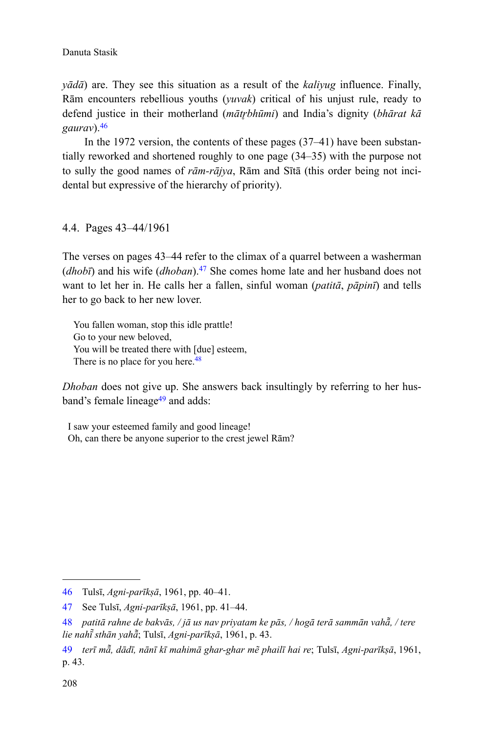*yādā*) are. They see this situation as a result of the *kaliyug* influence. Finally, Rām encounters rebellious youths (*yuvak*) critical of his unjust rule, ready to defend justice in their motherland (*mƗtrֈbhnjmi*) and India's dignity (*bhārat kā gaurav*).<sup>46</sup>

In the 1972 version, the contents of these pages (37–41) have been substantially reworked and shortened roughly to one page (34–35) with the purpose not to sully the good names of *rām-rājya*, Rām and Sītā (this order being not incidental but expressive of the hierarchy of priority).

#### 4.4. Pages 43–44/1961

The verses on pages 43–44 refer to the climax of a quarrel between a washerman (*dhobī*) and his wife (*dhoban*).<sup>47</sup> She comes home late and her husband does not want to let her in. He calls her a fallen, sinful woman (*patitā*, *pāpinī*) and tells her to go back to her new lover.

You fallen woman, stop this idle prattle! Go to your new beloved, You will be treated there with [due] esteem, There is no place for you here.<sup>48</sup>

*Dhoban* does not give up. She answers back insultingly by referring to her husband's female lineage<sup>49</sup> and adds:

I saw your esteemed family and good lineage! Oh, can there be anyone superior to the crest jewel Rām?

<sup>46</sup> Tulsī, *Agni-parīkṣā*, 1961, pp. 40–41.

<sup>47</sup> See Tulsī, *Agni-parīkṣā*, 1961, pp. 41–44.

<sup>48</sup> *patitā rahne de bakvās, / jā us nav priyatam ke pās, / hogā terā sammān vahƗ˾, / tere lie nahī̃ sthān yahā̃*; Tulsī, *Agni-parīkṣā*, 1961, p. 43.

<sup>49</sup> *terī mƗ˾, dādī, nānī kī mahimā ghar-ghar mẽ phailī hai re*; Tulsī, *Agni-parīkṣā*, 1961, p. 43.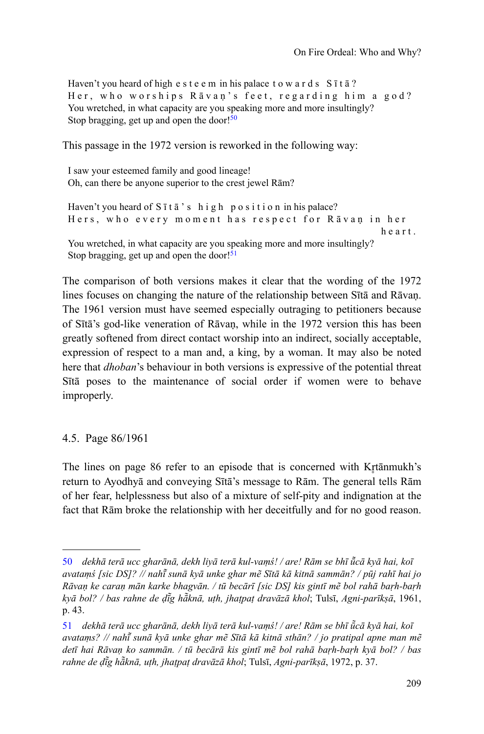Haven't you heard of high e s t e e m in his palace t o w a r d s  $S$  ī t  $\bar{a}$  ? Her, who worships Rāvan's feet, regarding him a god? You wretched, in what capacity are you speaking more and more insultingly? Stop bragging, get up and open the door! $50$ 

This passage in the 1972 version is reworked in the following way:

I saw your esteemed family and good lineage! Oh, can there be anyone superior to the crest jewel Rām?

```
Haven't you heard of Sītā's high position in his palace?
Hers, who every moment has respect for Rāvan in her
                                                                 h e a r t .
You wretched, in what capacity are you speaking more and more insultingly?
Stop bragging, get up and open the door!51
```
The comparison of both versions makes it clear that the wording of the 1972 lines focuses on changing the nature of the relationship between Sītā and Rāvaṇ. The 1961 version must have seemed especially outraging to petitioners because of Sītā's god-like veneration of Rāvaṇ, while in the 1972 version this has been greatly softened from direct contact worship into an indirect, socially acceptable, expression of respect to a man and, a king, by a woman. It may also be noted here that *dhoban*'s behaviour in both versions is expressive of the potential threat Sītā poses to the maintenance of social order if women were to behave improperly.

## 4.5. Page 86/1961

The lines on page 86 refer to an episode that is concerned with Krtanmukh's return to Ayodhyā and conveying Sītā's message to Rām. The general tells Rām of her fear, helplessness but also of a mixture of self-pity and indignation at the fact that Rām broke the relationship with her deceitfully and for no good reason.

<sup>50</sup> dekhā terā ucc gharānā, dekh liyā terā kul-vaṃś! / are! Rām se bhī ū̃cā kyā hai, koī *avataṃś [sic DS]? // nahƯ sunā kyā unke ghar mẽ Sītā kā kitnā sammān? / pūj rahī hai jo ˾ Rāvaṇ ke caraṇ mān karke bhagvān. / tū becārī [sic DS] kis gintī mẽ bol rahā baṛh-baṛh kyā bol? / bas rahne de dī̃g hā̃knā, uṭh, jhaṭpaṭ dravāzā khol; Tulsī, Agni-parīkṣā, 1961,* p. 43.

<sup>51</sup> *dekhā terā ucc gharānā, dekh liyā terā kul-vaṃś! / are! Rām se bhī ū̃cā kyā hai, koī avataṃs? // nahƯ sunā kyā unke ghar mẽ Sītā kā kitnā sthān? / jo pratipal apne man mẽ ˾ detī hai Rāvaṇ ko sammān. / tū becārā kis gintī mẽ bol rahā baṛh-baṛh kyā bol? / bas rahne de di̇̃g hā̃knā, uṭh, jhaṭpaṭ dravāzā khol; Tulsī, Agni-parīkṣā, 1972, p. 37.*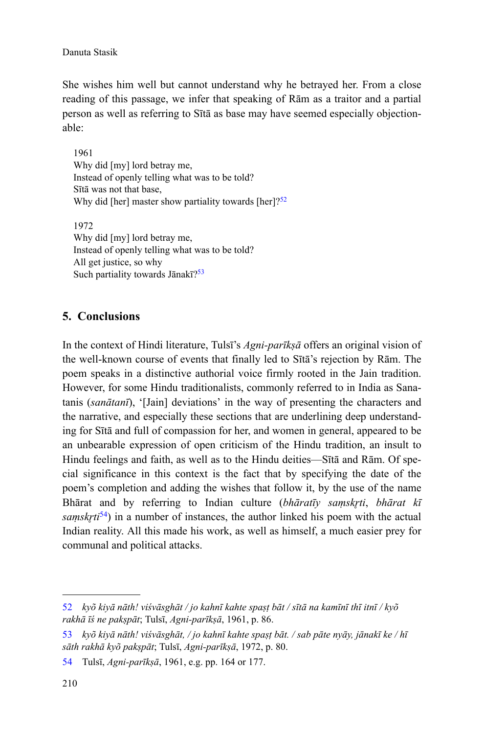She wishes him well but cannot understand why he betrayed her. From a close reading of this passage, we infer that speaking of Rām as a traitor and a partial person as well as referring to Sītā as base may have seemed especially objectionable:

1961 Why did [my] lord betray me, Instead of openly telling what was to be told? Sītā was not that base, Why did [her] master show partiality towards [her]?<sup>52</sup>

1972 Why did [my] lord betray me, Instead of openly telling what was to be told? All get justice, so why Such partiality towards Jānakī?<sup>53</sup>

## **5. Conclusions**

In the context of Hindi literature, Tulsī's *Agni-parīkṣā* offers an original vision of the well-known course of events that finally led to Sītā's rejection by Rām. The poem speaks in a distinctive authorial voice firmly rooted in the Jain tradition. However, for some Hindu traditionalists, commonly referred to in India as Sanatanis (*sanātanī*), '[Jain] deviations' in the way of presenting the characters and the narrative, and especially these sections that are underlining deep understanding for Sītā and full of compassion for her, and women in general, appeared to be an unbearable expression of open criticism of the Hindu tradition, an insult to Hindu feelings and faith, as well as to the Hindu deities—Sītā and Rām. Of special significance in this context is the fact that by specifying the date of the poem's completion and adding the wishes that follow it, by the use of the name Bhārat and by referring to Indian culture (*bhāratīv samskrti*, *bhārat kī samskrti*<sup>54</sup>) in a number of instances, the author linked his poem with the actual Indian reality. All this made his work, as well as himself, a much easier prey for communal and political attacks.

<sup>52</sup> *kyõ kiyā nāth! viśvāsghāt / jo kahnī kahte spaṣṭ bāt / sītā na kamīnī thī itnī / kyõ rakhā īś ne pakṣpāt*; Tulsī, *Agni-parīkṣā*, 1961, p. 86.

<sup>53</sup> *kyõ kiyā nāth! viśvāsghāt, / jo kahnī kahte spaṣṭ bāt. / sab pāte nyāy, jānakī ke / hī sāth rakhā kyõ pakṣpāt*; Tulsī, *Agni-parīkṣā*, 1972, p. 80.

<sup>54</sup> Tulsī, *Agni-parīkṣā*, 1961, e.g. pp. 164 or 177.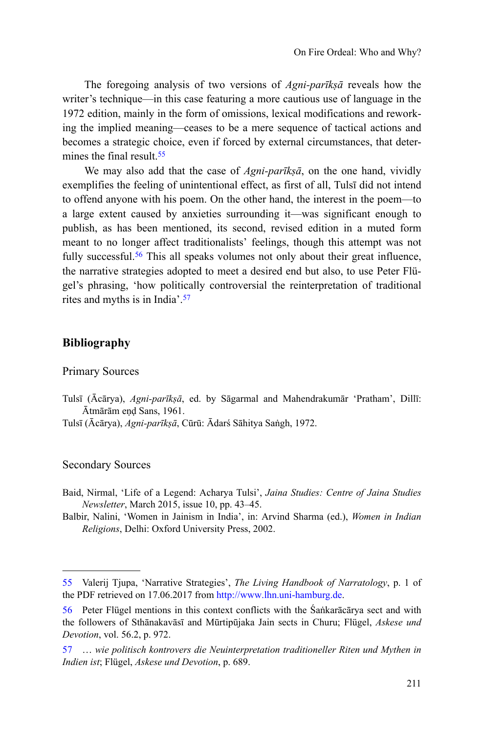The foregoing analysis of two versions of *Agni-parīkṣā* reveals how the writer's technique—in this case featuring a more cautious use of language in the 1972 edition, mainly in the form of omissions, lexical modifications and reworking the implied meaning—ceases to be a mere sequence of tactical actions and becomes a strategic choice, even if forced by external circumstances, that determines the final result.<sup>55</sup>

We may also add that the case of *Agni-parīkṣā*, on the one hand, vividly exemplifies the feeling of unintentional effect, as first of all, Tulsī did not intend to offend anyone with his poem. On the other hand, the interest in the poem—to a large extent caused by anxieties surrounding it—was significant enough to publish, as has been mentioned, its second, revised edition in a muted form meant to no longer affect traditionalists' feelings, though this attempt was not fully successful.<sup>56</sup> This all speaks volumes not only about their great influence, the narrative strategies adopted to meet a desired end but also, to use Peter Flügel's phrasing, 'how politically controversial the reinterpretation of traditional rites and myths is in India'.<sup>57</sup>

#### **Bibliography**

#### Primary Sources

Tulsī (Ācārya), *Agni-parīkṣā*, ed. by Sāgarmal and Mahendrakumār 'Pratham', Dillī: Ātmārām eṇḍ Sans, 1961.

Tulsī (Ācārya), *Agni-parīkṣā*, Cūrū: Ādarś Sāhitya Saṅgh, 1972.

#### Secondary Sources

- Baid, Nirmal, 'Life of a Legend: Acharya Tulsi', *Jaina Studies: Centre of Jaina Studies Newsletter*, March 2015, issue 10, pp. 43–45.
- Balbir, Nalini, 'Women in Jainism in India', in: Arvind Sharma (ed.), *Women in Indian Religions*, Delhi: Oxford University Press, 2002.

<sup>55</sup> Valerij Tjupa, 'Narrative Strategies', *The Living Handbook of Narratology*, p. 1 of the PDF retrieved on 17.06.2017 from [http://www.lhn.uni-hamburg.de.](http://www.lhn.uni-hamburg.de)

<sup>56</sup> Peter Flügel mentions in this context conflicts with the Śaṅkarācārya sect and with the followers of Sthānakavāsī and Mūrtipūjaka Jain sects in Churu; Flügel, *Askese und Devotion*, vol. 56.2, p. 972.

<sup>57</sup> … *wie politisch kontrovers die Neuinterpretation traditioneller Riten und Mythen in Indien ist*; Flügel, *Askese und Devotion*, p. 689.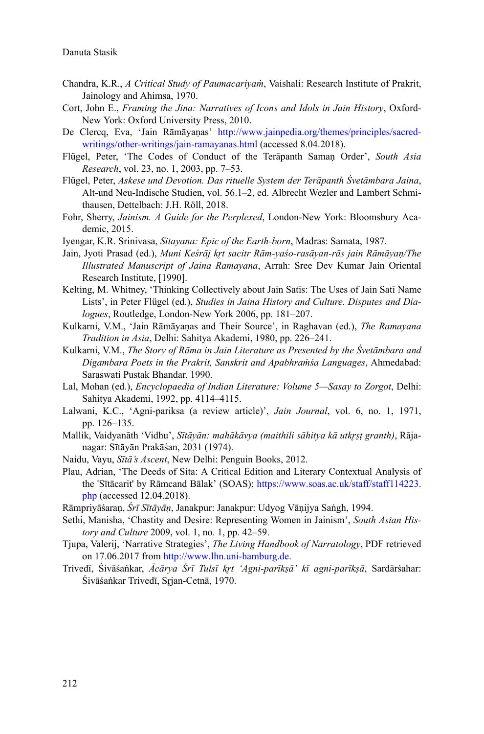- Chandra, K.R., *A Critical Study of Paumacariyaṁ*, Vaishali: Research Institute of Prakrit, Jainology and Ahimsa, 1970.
- Cort, John E., *Framing the Jina: Narratives of Icons and Idols in Jain History*, Oxford-New York: Oxford University Press, 2010.
- De Clercq, Eva, 'Jain Rāmāyaṇas' [http://www.jainpedia.org/themes/principles/sacred](http://www.jainpedia.org/themes/principles/sacred-writings/other-writings/jain-ramayanas.html)[writings/other-writings/jain-ramayanas.html](http://www.jainpedia.org/themes/principles/sacred-writings/other-writings/jain-ramayanas.html) (accessed 8.04.2018).
- Flügel, Peter, 'The Codes of Conduct of the Terāpanth Samaṇ Order', *South Asia Research*, vol. 23, no. 1, 2003, pp. 7–53.
- Flügel, Peter, *Askese und Devotion. Das rituelle System der Terāpanth Śvetāmbara Jaina*, Alt-und Neu-Indische Studien, vol. 56.1–2, ed. Albrecht Wezler and Lambert Schmithausen, Dettelbach: J.H. Röll, 2018.
- Fohr, Sherry, *Jainism. A Guide for the Perplexed*, London-New York: Bloomsbury Academic, 2015.
- Iyengar, K.R. Srinivasa, *Sitayana: Epic of the Earth-born*, Madras: Samata, 1987.
- Jain, Jyoti Prasad (ed.), *Muni Keśrāj krt sacitr Rām-yaśo-rasāyan-rās jain Rāmāyan/The Illustrated Manuscript of Jaina Ramayana*, Arrah: Sree Dev Kumar Jain Oriental Research Institute, [1990].
- Kelting, M. Whitney, 'Thinking Collectively about Jain Satīs: The Uses of Jain Satī Name Lists', in Peter Flügel (ed.), *Studies in Jaina History and Culture. Disputes and Dialogues*, Routledge, London-New York 2006, pp. 181–207.
- Kulkarni, V.M., 'Jain Rāmāyaṇas and Their Source', in Raghavan (ed.), *The Ramayana Tradition in Asia*, Delhi: Sahitya Akademi, 1980, pp. 226–241.
- Kulkarni, V.M., *The Story of Rāma in Jain Literature as Presented by the Śvetāmbara and Digambara Poets in the Prakrit, Sanskrit and Apabhraṁśa Languages*, Ahmedabad: Saraswati Pustak Bhandar, 1990.
- Lal, Mohan (ed.), *Encyclopaedia of Indian Literature: Volume 5—Sasay to Zorgot*, Delhi: Sahitya Akademi, 1992, pp. 4114–4115.
- Lalwani, K.C., 'Agni-pariksa (a review article)', *Jain Journal*, vol. 6, no. 1, 1971, pp. 126–135.
- Mallik, Vaidyanāth 'Vidhu', *Sītāyān: mahākāvya (maithili sāhitya kā utkrst granth*), Rājanagar: Sītāyān Prakāśan, 2031 (1974).
- Naidu, Vayu, *Sītā's Ascent*, New Delhi: Penguin Books, 2012.
- Plau, Adrian, 'The Deeds of Sita: A Critical Edition and Literary Contextual Analysis of the 'Sītācarit' by Rāmcand Bālak' (SOAS); [https://www.soas.ac.uk/staff/staff114223.](https://www.soas.ac.uk/staff/staff114223.php) [php](https://www.soas.ac.uk/staff/staff114223.php) (accessed 12.04.2018).
- Rāmpriyāśaraṇ, *Śrī Sītāyāṇ*, Janakpur: Janakpur: Udyog Vāṇijya Saṅgh, 1994.
- Sethi, Manisha, 'Chastity and Desire: Representing Women in Jainism', *South Asian History and Culture* 2009, vol. 1, no. 1, pp. 42–59.
- Tjupa, Valerij, 'Narrative Strategies', *The Living Handbook of Narratology*, PDF retrieved on 17.06.2017 from [http://www.lhn.uni-hamburg.de.](http://www.lhn.uni-hamburg.de)
- Trivedī, Śivāśaṅkar, *Ācārya Śrī Tulsī krֈt 'Agni-parīkṣā' kī agni-parīkṣā*, Sardārśahar: Śivāśankar Trivedī, Srian-Cetnā, 1970.